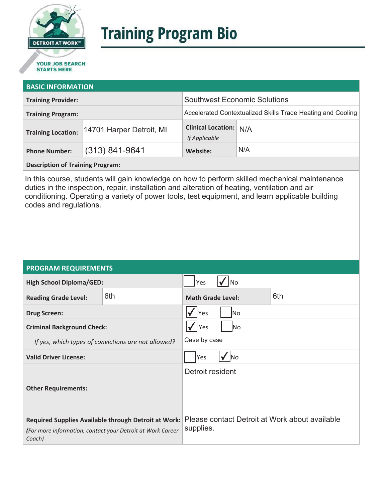

# **Training Program Bio**

## **STARTS HERE**

#### **BASIC INFORMATION**

| <b>Training Provider:</b>                             | <b>Southwest Economic Solutions</b>                         |     |
|-------------------------------------------------------|-------------------------------------------------------------|-----|
| <b>Training Program:</b>                              | Accelerated Contextualized Skills Trade Heating and Cooling |     |
| 14701 Harper Detroit, MI<br><b>Training Location:</b> | <b>Clinical Location: N/A</b><br>If Applicable              |     |
| $(313) 841 - 9641$<br><b>Phone Number:</b>            | Website:                                                    | N/A |

**Description of Training Program:** 

In this course, students will gain knowledge on how to perform skilled mechanical maintenance duties in the inspection, repair, installation and alteration of heating, ventilation and air conditioning. Operating a variety of power tools, test equipment, and learn applicable building codes and regulations.

#### **PROGRAM REQUIREMENTS**

| <b>High School Diploma/GED:</b>                                                                                              |     | Yes<br>No                |  |                                                |
|------------------------------------------------------------------------------------------------------------------------------|-----|--------------------------|--|------------------------------------------------|
| <b>Reading Grade Level:</b>                                                                                                  | 6th | <b>Math Grade Level:</b> |  | 6th                                            |
| <b>Drug Screen:</b>                                                                                                          |     | Yes<br>No.               |  |                                                |
| <b>Criminal Background Check:</b>                                                                                            |     | Yes<br>lNo               |  |                                                |
| If yes, which types of convictions are not allowed?                                                                          |     | Case by case             |  |                                                |
| <b>Valid Driver License:</b>                                                                                                 |     | Yes<br><b>INo</b>        |  |                                                |
| <b>Other Requirements:</b>                                                                                                   |     | Detroit resident         |  |                                                |
| Required Supplies Available through Detroit at Work:<br>(For more information, contact your Detroit at Work Career<br>Coach) |     | supplies.                |  | Please contact Detroit at Work about available |